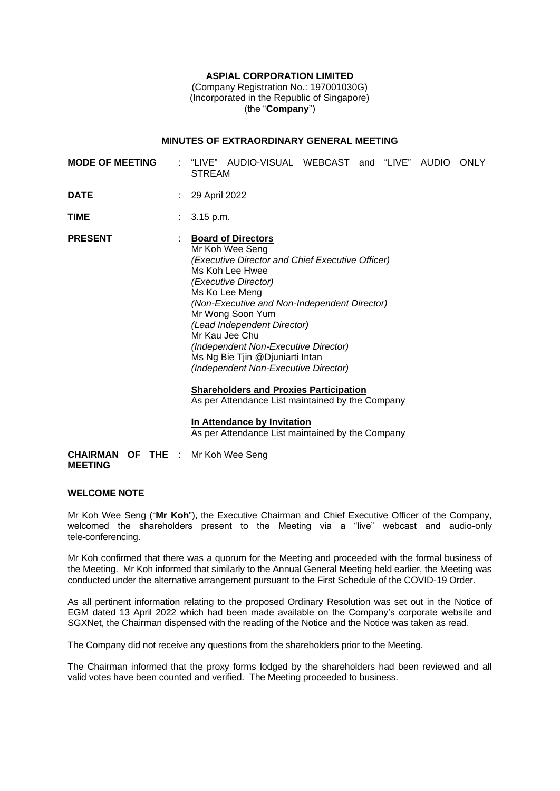## **ASPIAL CORPORATION LIMITED**

(Company Registration No.: 197001030G) (Incorporated in the Republic of Singapore) (the "**Company**")

# **MINUTES OF EXTRAORDINARY GENERAL MEETING**

| <b>MODE OF MEETING</b> | "LIVE" AUDIO-VISUAL WEBCAST and "LIVE" AUDIO<br>ONLY<br>STREAM                                                                                                                                                                                                                                                                                                                                        |
|------------------------|-------------------------------------------------------------------------------------------------------------------------------------------------------------------------------------------------------------------------------------------------------------------------------------------------------------------------------------------------------------------------------------------------------|
| <b>DATE</b>            | 29 April 2022                                                                                                                                                                                                                                                                                                                                                                                         |
| TIME                   | $: 3.15 \text{ p.m.}$                                                                                                                                                                                                                                                                                                                                                                                 |
| <b>PRESENT</b>         | <b>Board of Directors</b><br>Mr Koh Wee Seng<br>(Executive Director and Chief Executive Officer)<br>Ms Koh Lee Hwee<br>(Executive Director)<br>Ms Ko Lee Meng<br>(Non-Executive and Non-Independent Director)<br>Mr Wong Soon Yum<br>(Lead Independent Director)<br>Mr Kau Jee Chu<br>(Independent Non-Executive Director)<br>Ms Ng Bie Tjin @Djuniarti Intan<br>(Independent Non-Executive Director) |

**Shareholders and Proxies Participation** As per Attendance List maintained by the Company

# **In Attendance by Invitation**

As per Attendance List maintained by the Company

**CHAIRMAN OF THE**  : Mr Koh Wee Seng **MEETING** 

#### **WELCOME NOTE**

Mr Koh Wee Seng ("**Mr Koh**"), the Executive Chairman and Chief Executive Officer of the Company, welcomed the shareholders present to the Meeting via a "live" webcast and audio-only tele-conferencing.

Mr Koh confirmed that there was a quorum for the Meeting and proceeded with the formal business of the Meeting. Mr Koh informed that similarly to the Annual General Meeting held earlier, the Meeting was conducted under the alternative arrangement pursuant to the First Schedule of the COVID-19 Order.

As all pertinent information relating to the proposed Ordinary Resolution was set out in the Notice of EGM dated 13 April 2022 which had been made available on the Company's corporate website and SGXNet, the Chairman dispensed with the reading of the Notice and the Notice was taken as read.

The Company did not receive any questions from the shareholders prior to the Meeting.

The Chairman informed that the proxy forms lodged by the shareholders had been reviewed and all valid votes have been counted and verified. The Meeting proceeded to business.